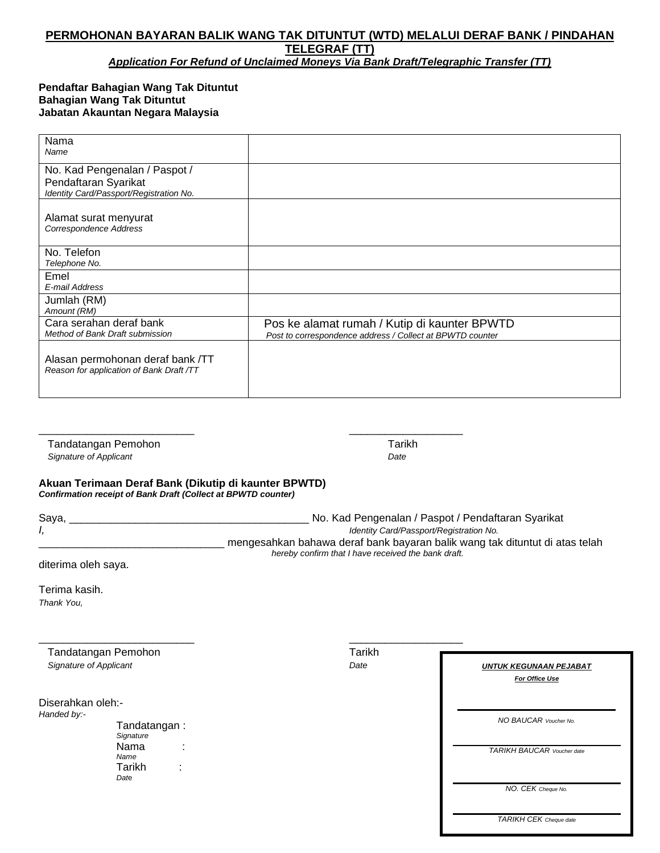## **PERMOHONAN BAYARAN BALIK WANG TAK DITUNTUT (WTD) MELALUI DERAF BANK / PINDAHAN TELEGRAF (TT)**

*Application For Refund of Unclaimed Moneys Via Bank Draft/Telegraphic Transfer (TT)*

## **Pendaftar Bahagian Wang Tak Dituntut Bahagian Wang Tak Dituntut Jabatan Akauntan Negara Malaysia**

| Nama<br>Name                                                                                     |                                                                                                           |
|--------------------------------------------------------------------------------------------------|-----------------------------------------------------------------------------------------------------------|
| No. Kad Pengenalan / Paspot /<br>Pendaftaran Syarikat<br>Identity Card/Passport/Registration No. |                                                                                                           |
| Alamat surat menyurat<br>Correspondence Address                                                  |                                                                                                           |
| No. Telefon<br>Telephone No.                                                                     |                                                                                                           |
| Emel<br>E-mail Address                                                                           |                                                                                                           |
| Jumlah (RM)<br>Amount (RM)                                                                       |                                                                                                           |
| Cara serahan deraf bank<br>Method of Bank Draft submission                                       | Pos ke alamat rumah / Kutip di kaunter BPWTD<br>Post to correspondence address / Collect at BPWTD counter |
| Alasan permohonan deraf bank /TT<br>Reason for application of Bank Draft /TT                     |                                                                                                           |

Tandatangan Pemohon Tarikh  *Signature of Applicant Date*

## **Akuan Terimaan Deraf Bank (Dikutip di kaunter BPWTD)** *Confirmation receipt of Bank Draft (Collect at BPWTD counter)*

\_\_\_\_\_\_\_\_\_\_\_\_\_\_\_\_\_\_\_\_\_\_\_\_\_\_ \_\_\_\_\_\_\_\_\_\_\_\_\_\_\_\_\_\_\_

 $\frac{1}{2}$  ,  $\frac{1}{2}$  ,  $\frac{1}{2}$  ,  $\frac{1}{2}$  ,  $\frac{1}{2}$  ,  $\frac{1}{2}$  ,  $\frac{1}{2}$  ,  $\frac{1}{2}$  ,  $\frac{1}{2}$  ,  $\frac{1}{2}$  ,  $\frac{1}{2}$  ,  $\frac{1}{2}$  ,  $\frac{1}{2}$  ,  $\frac{1}{2}$  ,  $\frac{1}{2}$  ,  $\frac{1}{2}$  ,  $\frac{1}{2}$  ,  $\frac{1}{2}$  ,  $\frac{1$ 

| Saya, | No. Kad Pengenalan / Paspot / Pendaftaran Syarikat                          |
|-------|-----------------------------------------------------------------------------|
|       | Identity Card/Passport/Registration No.                                     |
|       | mengesahkan bahawa deraf bank bayaran balik wang tak dituntut di atas telah |
|       | hereby confirm that I have received the bank draft.                         |

diterima oleh saya.

Terima kasih. *Thank You,*

Tandatangan Pemohon Tarikh  *Signature of Applicant Date*

Diserahkan oleh:-

*Handed by:-*

Tandatangan : *Signature* Nama : *Name* Tarikh : *Dat*<sup>e</sup>

*UNTUK KEGUNAAN PEJABAT For Office Use*

*\_\_\_\_\_\_\_\_\_\_\_\_\_\_\_\_\_\_\_\_\_\_\_\_\_\_\_\_\_\_\_\_\_ NO BAUCAR Voucher No.*

*TARIKH BAUCAR Voucher date*

*NO. CEK Cheque No.*

*TARIKH CEK Cheque date*